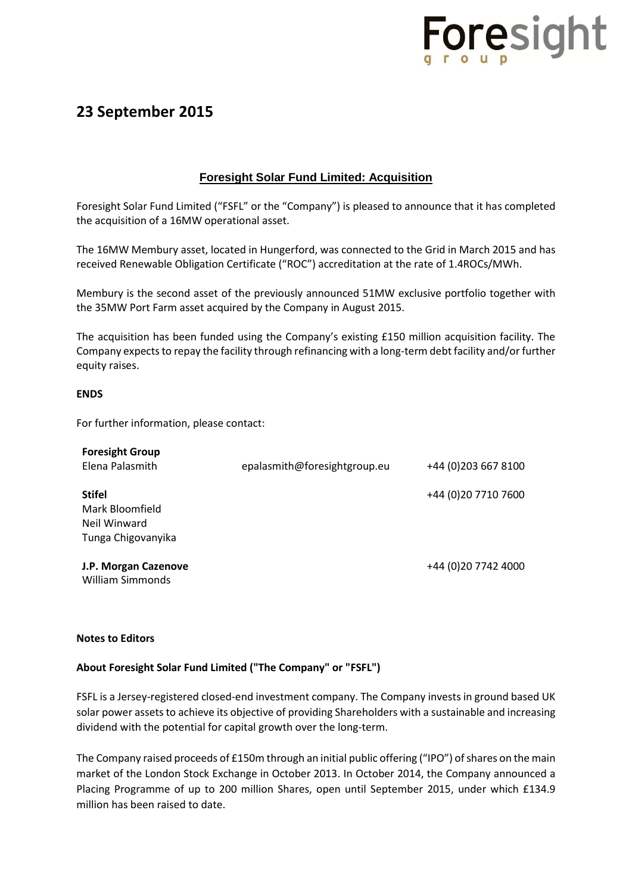

## **23 September 2015**

### **Foresight Solar Fund Limited: Acquisition**

Foresight Solar Fund Limited ("FSFL" or the "Company") is pleased to announce that it has completed the acquisition of a 16MW operational asset.

The 16MW Membury asset, located in Hungerford, was connected to the Grid in March 2015 and has received Renewable Obligation Certificate ("ROC") accreditation at the rate of 1.4ROCs/MWh.

Membury is the second asset of the previously announced 51MW exclusive portfolio together with the 35MW Port Farm asset acquired by the Company in August 2015.

The acquisition has been funded using the Company's existing £150 million acquisition facility. The Company expects to repay the facility through refinancing with a long-term debt facility and/or further equity raises.

#### **ENDS**

For further information, please contact:

| <b>Foresight Group</b><br>Elena Palasmith                              | epalasmith@foresightgroup.eu | +44 (0) 203 667 8100 |
|------------------------------------------------------------------------|------------------------------|----------------------|
| <b>Stifel</b><br>Mark Bloomfield<br>Neil Winward<br>Tunga Chigovanyika |                              | +44 (0) 20 7710 7600 |
| J.P. Morgan Cazenove<br>William Simmonds                               |                              | +44 (0) 20 7742 4000 |

#### **Notes to Editors**

#### **About Foresight Solar Fund Limited ("The Company" or "FSFL")**

FSFL is a Jersey-registered closed-end investment company. The Company invests in ground based UK solar power assets to achieve its objective of providing Shareholders with a sustainable and increasing dividend with the potential for capital growth over the long-term.

The Company raised proceeds of £150m through an initial public offering ("IPO") of shares on the main market of the London Stock Exchange in October 2013. In October 2014, the Company announced a Placing Programme of up to 200 million Shares, open until September 2015, under which £134.9 million has been raised to date.